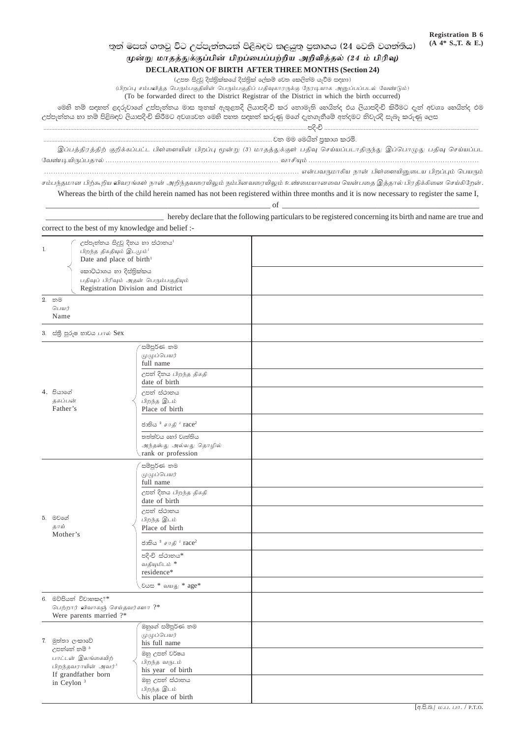## තුන් මසක් ගතවූ විට උප්පැන්නයක් පිළිබඳව කළයුතු පුකාශය (24 වෙනි වගන්තිය)

## முன்று மாதத்துக்குப்பின் பிறப்பைப்பற்றிய அறிவித்தல் (24 ம் பிரிவு)

**DECLARATION OF BIRTH AFTER THREE MONTHS (Section 24)** 

(උපත සිදුවූ දිස්තිුක්කයේ දිස්තිුක් ලේකම් වෙත කෙලින්ම යැවීම සඳහා) (பிறப்பு சம்பவித்த பெரும்பகுதியின் பெரும்பகுதிப் பதிவுகாரருக்கு நேரடியாக அனுப்பப்படல் வேண்டும்)

(To be forwarded direct to the District Registrar of the District in which the birth occurred)

මෙනි නම් සඳහන් ළදරුවාගේ උප්පැන්නය මාස කුනක් ඇතුළතදී ලියාපදිංචි කර නොමැති හෙයින්ද එය ලියාපදිංචි කිරීමට දැන් අවශා හෙයින්ද එම

උප්පැත්තය හා තම් පිළිබඳව ලියාපදිංචි කිරීමට අවශාවත මෙහි පහත සඳහත් කරුණු මගේ දැනගැනීමේ අත්දමට නිවැරදි සැබෑ කරුණු ලෙස

............................ වන මම මෙයින් පුකාශ කරමි.

hereby declare that the following particulars to be registered concerning its birth and name are true and

இப்பத்திரத்திற் குறிக்கப்பட்ட பிள்ளையின் பிறப்பு மூன்று (3) மாதத்துக்குள் பதிவு செய்யப்படாதிருந்து இப்பொழுது பதிவு செய்யப்பட

சம்பந்தமான பிற்கூறிய விவரங்கள் நான் அறிந்தவரையிலும் நம்பினவரையிலும் உண்மையானவை யென்பதை இத்தால் பிரதிக்கினை செய்கிறேன்.

Whereas the birth of the child herein named has not been registered within three months and it is now necessary to register the same I,

 $-$  of

|                                                                                     | correct to the best of my knowledge and belief :-                                                                                                                                                                                      |                                                                                                                         |  |
|-------------------------------------------------------------------------------------|----------------------------------------------------------------------------------------------------------------------------------------------------------------------------------------------------------------------------------------|-------------------------------------------------------------------------------------------------------------------------|--|
| 1.                                                                                  | උප්පැන්නය සිදුවූ දිනය හා ස්ථානය <sup>1</sup><br>பிறந்த திகதியும் இடமும் <sup>1</sup><br>Date and place of birth <sup>1</sup><br>කොට්ඨාශය හා දිස්තිුක්කය<br>பதிவுப் பிரிவும் அதன் பெரும்பகுதியும்<br>Registration Division and District |                                                                                                                         |  |
|                                                                                     |                                                                                                                                                                                                                                        |                                                                                                                         |  |
|                                                                                     | 2. නම<br>பெயர்<br>Name                                                                                                                                                                                                                 |                                                                                                                         |  |
|                                                                                     | 3. ස්තුී පුරුෂ භාවය பால் Sex                                                                                                                                                                                                           |                                                                                                                         |  |
|                                                                                     |                                                                                                                                                                                                                                        | 'සම්පූර්ණ නම<br>முழுப்பெயர்<br>full name<br>උපත් දිනය பிறந்த திகதி                                                      |  |
|                                                                                     | 4. පියාගේ<br>தகப்பன்<br>Father's                                                                                                                                                                                                       | date of birth<br>උපන් ස්ථානය<br>பிறந்த இடம்<br>Place of birth                                                           |  |
|                                                                                     |                                                                                                                                                                                                                                        | ජාතිය $^2$ $\sigma$ $\pi$ தி $^2$ $\text{race}^2$<br>තත්ත්වය හෝ වෘත්තිය<br>அந்தஸ்து அல்லது தொழில்<br>rank or profession |  |
|                                                                                     | 5. මවගේ<br>தாய்<br>Mother's                                                                                                                                                                                                            | සම්පූර්ණ නම<br>முழுப்பெயர்<br>full name<br>උපත් දිනය பிறந்த திகதி                                                       |  |
|                                                                                     |                                                                                                                                                                                                                                        | date of birth<br>උපත් ස්ථානය<br>பிறந்த இடம்<br>Place of birth                                                           |  |
|                                                                                     |                                                                                                                                                                                                                                        | ජාතිය $^2$ $\sigma$ $\pi$ தி $^2$ $\text{race}^2$<br>පදිංචි ස්ථානය*<br>வதியுமிடம் *<br>residence*                       |  |
|                                                                                     |                                                                                                                                                                                                                                        | . பெல் * வயது * age*                                                                                                    |  |
| 6. මව්පියන් විවාහකද?*<br>பெற்றார் விவாகஞ் செய்தவர்களா ?*<br>Were parents married ?* |                                                                                                                                                                                                                                        |                                                                                                                         |  |
|                                                                                     | 7. මුත්තා ලංකාවේ<br>උපත්තේ නම් 3<br>பாட்டன் இலங்கையிற்<br>பிறந்தவராயின் அவர் <sup>3</sup><br>If grandfather born<br>in Ceylon <sup>3</sup>                                                                                             | .<br>ඔහුගේ සම්පූර්ණ නම<br>முழுப்பெயர்<br>his full name                                                                  |  |
|                                                                                     |                                                                                                                                                                                                                                        | ඔහු උපත් වර්ෂය<br>பிறந்த வருடம்<br>his year of birth                                                                    |  |
|                                                                                     |                                                                                                                                                                                                                                        | ඔහු උපත් ස්ථානය<br>பிறந்த இடம்<br>his place of birth                                                                    |  |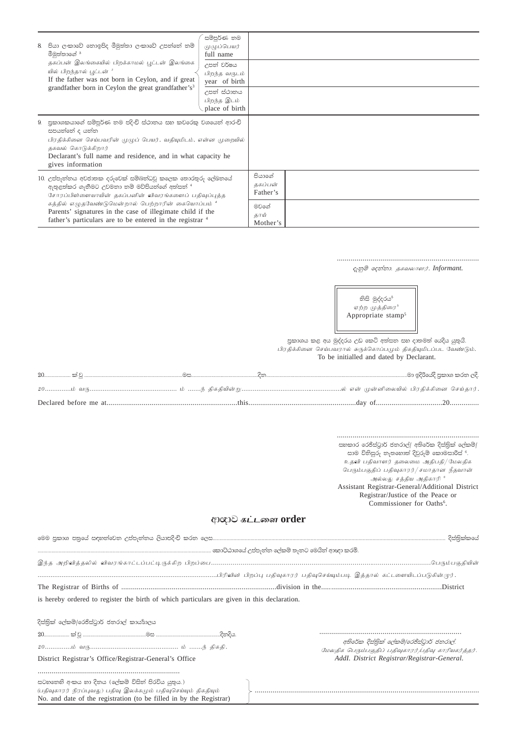| 8. | පියා ලංකාවේ තොඉපිද මීමුත්තා ලංකාවේ උපත්තේ නම්<br>මීමුත්තාගේ <sup>3</sup><br>தகப்பன் இலங்கையில் பிறக்காமல் பூட்டன் இலங்கை<br>யில் பிறந்தால் <u>ப</u> ுட்டன் <sup>3</sup><br>If the father was not born in Ceylon, and if great<br>grandfather born in Ceylon the great grandfather's <sup>3</sup>                                                                          | සමීපුර්ණ නම<br>முழுப்பெயர்<br>full name<br>උපත් වර්ෂය<br>பிறந்த வருடம்<br>year of birth<br>උපත් ස්ථානය<br>பிறந்த இடம்<br>place of birth |                               |  |
|----|---------------------------------------------------------------------------------------------------------------------------------------------------------------------------------------------------------------------------------------------------------------------------------------------------------------------------------------------------------------------------|-----------------------------------------------------------------------------------------------------------------------------------------|-------------------------------|--|
|    | 9. පුකාශකයාගේ සම්පූර්ණ නම පදිංචි ස්ථානය සහ කවරෙකු වශයෙන් ආරංචි<br>සපයන්නේ ද යන්න<br>பிரதிக்கினை செய்பவரின் முழுப் பெயர், வதியுமிடம், என்ன முறையில்<br>தகவல் கொடுக்கிறார்<br>Declarant's full name and residence, and in what capacity he<br>gives information                                                                                                             |                                                                                                                                         |                               |  |
|    | 10. උප්පැන්නය අවජාතක දරුවෙක් සම්බන්ධවූ කලෙක තොරතුරු ලේඛනයේ<br>ඇතුළත්කර ගැනීමට උවමනා නම් මව්පියන්ගේ අත්සන් <sup>4</sup><br>சோரப்பிள்ளையாயின் தகப்பனின் விவரங்களைப் பதிவுப்புத்த<br>கத்தில் எழுதவேண்டுமென்றால் பெற்றாரின் கையொப்பம் <sup>4</sup><br>Parents' signatures in the case of illegimate child if the<br>father's particulars are to be entered in the registrar 4 |                                                                                                                                         | පියාගේ<br>தகப்பன்<br>Father's |  |
|    |                                                                                                                                                                                                                                                                                                                                                                           |                                                                                                                                         | මවගේ<br>தாய்<br>Mother's      |  |

දැනුම් දෙන්නා. *தகவலாளர்.* Informant.

නිසි මුද්දරය<sup>5</sup> ஏற்ற முத்திரை\* Appropriate stamp<sup>5</sup>

පුකාශය කළ අය මුද්දරය උඩ කෙටි අත්සන සහ දාතමත් යෙදිය යුතුයි. .<br>பிரதிக்கினை செய்பவரால் சுருக்கொப்பமும் திகதியுமிடப்பட வேண்டும். To be initialled and dated by Declarant.

සහකාර රෙජිස්ටුාර් ජනරාල්/ අතිරේක දිස්තිුක් ලේකම්/ සාම විනිසුරු තැතහොත් දිවුරුම් කොමසාරිස් 'ි. உதவி பதிவாளர் தலைமை அதிபதி/மேலதிக .<br>பெரும்பகுதிப் பதிவுகாரர்/சமாதான நீதவான் அல்லது சத்திய அதிகாரி  $^{\rm 6}$ Assistant Registrar-General/Additional District Registrar/Justice of the Peace or Commissioner for Oaths<sup>6</sup>.

## ආගාව கட்டளை order

| The Registrar of Births of <i>manufacture compare in the compare alwission</i> in the <i>manufacture compare in the compare in the compare in the compare in the compare in the compare in the compare in the compare in the compare </i> |                                                                                                  |
|-------------------------------------------------------------------------------------------------------------------------------------------------------------------------------------------------------------------------------------------|--------------------------------------------------------------------------------------------------|
| is hereby ordered to register the birth of which particulars are given in this declaration.                                                                                                                                               |                                                                                                  |
|                                                                                                                                                                                                                                           |                                                                                                  |
| දිස්තික් ලේකම්/රෙජිස්ටුාර් ජනරාල් කායහිලය                                                                                                                                                                                                 |                                                                                                  |
|                                                                                                                                                                                                                                           |                                                                                                  |
|                                                                                                                                                                                                                                           | අතිරේක දිස්තික් ලේකම්/රෙජිස්ටාර් ජනරාල්.<br>மேலதிக பெரும்பகுதிப் பதிவுகாரர் பதிவு காரியகர்த்தர். |
| District Registrar's Office/Registrar-General's Office                                                                                                                                                                                    | AddI. District Registrar/Registrar-General.                                                      |
|                                                                                                                                                                                                                                           |                                                                                                  |
| -සටහතෙහි අංකය හා දිනය (ලේකම් විසින් පිරවිය යුතුය.)<br>(பதிவுகாரர் நிரப்புவது) பதிவு இலக்கமும் பதிவுசெய்யும் திகதியும்<br>No. and date of the registration (to be filled in by the Registrar)                                              |                                                                                                  |